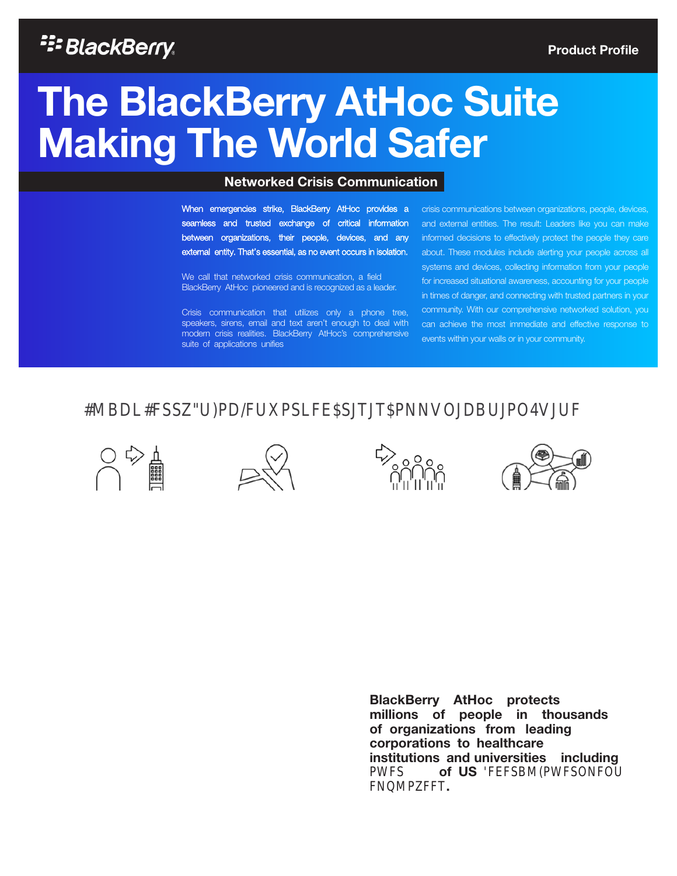### <sup>22</sup>BlackBerry.

# The BlackBerry AtHoc Suite Making The World Safer

#### Networked Crisis Communication

When emergencies strike, BlackBerry AtHoc provides a seamless and trusted exchange of critical information between organizations, their people, devices, and any external entity. That's essential, as no event occurs in isolation.

We call that networked crisis communication, a field BlackBerry AtHoc pioneered and is recognized as a leader.

Crisis communication that utilizes only a phone tree, speakers, sirens, email and text aren't enough to deal with modern crisis realities. BlackBerry AtHoc's comprehensive suite of applications unifies

crisis communications between organizations, people, devices, and external entities. The result: Leaders like you can make informed decisions to effectively protect the people they care about. These modules include alerting your people across all systems and devices, collecting information from your people for increased situational awareness, accounting for your people in times of danger, and connecting with trusted partners in your community. With our comprehensive networked solution, you can achieve the most immediate and effective response to events within your walls or in your community.

### **MBDL#SSW)PD/FURSLFE\$JTJT#NNVOJDBUJPOMJUF**

BlackBerry AtHoc protects millions of people in thousands of organizations from leading corporations to healthcare institutions and universities including PWFS of US EEFSBM(PWFSONFOU FNMPRFT.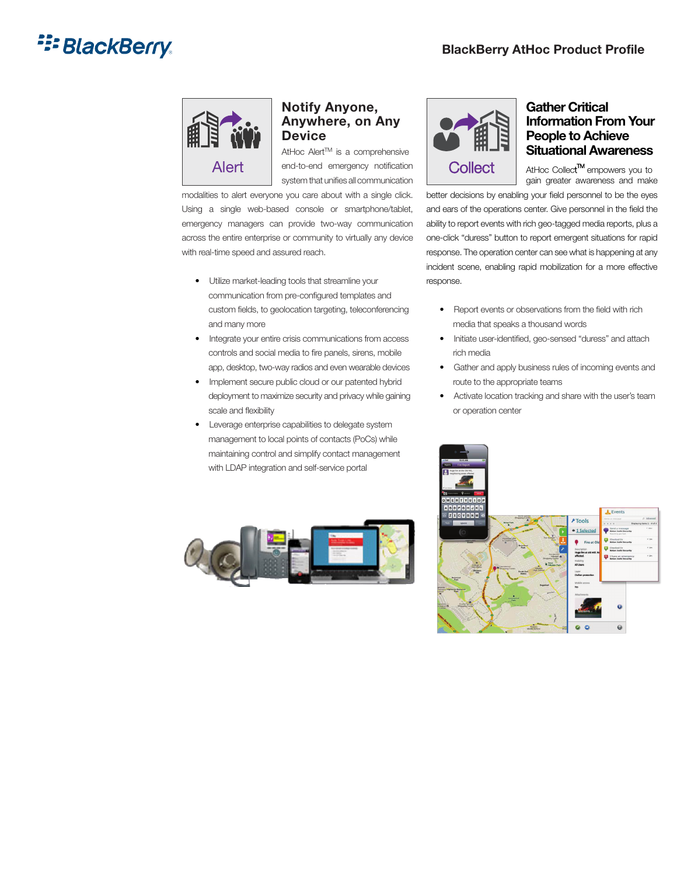## **E: BlackBerry**



#### Notify Anyone, Anywhere, on Any **Device**

AtHoc Alert™ is a comprehensive Alert end-to-end emergency notification Collect AtHoc Collect system that unifies all communication

modalities to alert everyone you care about with a single click. Using a single web-based console or smartphone/tablet, emergency managers can provide two-way communication across the entire enterprise or community to virtually any device with real-time speed and assured reach.

- Utilize market-leading tools that streamline your communication from pre-configured templates and custom fields, to geolocation targeting, teleconferencing and many more
- Integrate your entire crisis communications from access controls and social media to fire panels, sirens, mobile app, desktop, two-way radios and even wearable devices
- Implement secure public cloud or our patented hybrid deployment to maximize security and privacy while gaining scale and flexibility
- Leverage enterprise capabilities to delegate system management to local points of contacts (PoCs) while maintaining control and simplify contact management with LDAP integration and self-service portal





#### Gather Critical Information From Your People to Achieve Situational Awareness

gain greater awareness and make **TM** empowers you to

better decisions by enabling your field personnel to be the eyes and ears of the operations center. Give personnel in the field the ability to report events with rich geo-tagged media reports, plus a one-click "duress" button to report emergent situations for rapid response. The operation center can see what is happening at any incident scene, enabling rapid mobilization for a more effective response.

- Report events or observations from the field with rich media that speaks a thousand words
- Initiate user-identified, geo-sensed "duress" and attach rich media
- Gather and apply business rules of incoming events and route to the appropriate teams
- Activate location tracking and share with the user's team or operation center

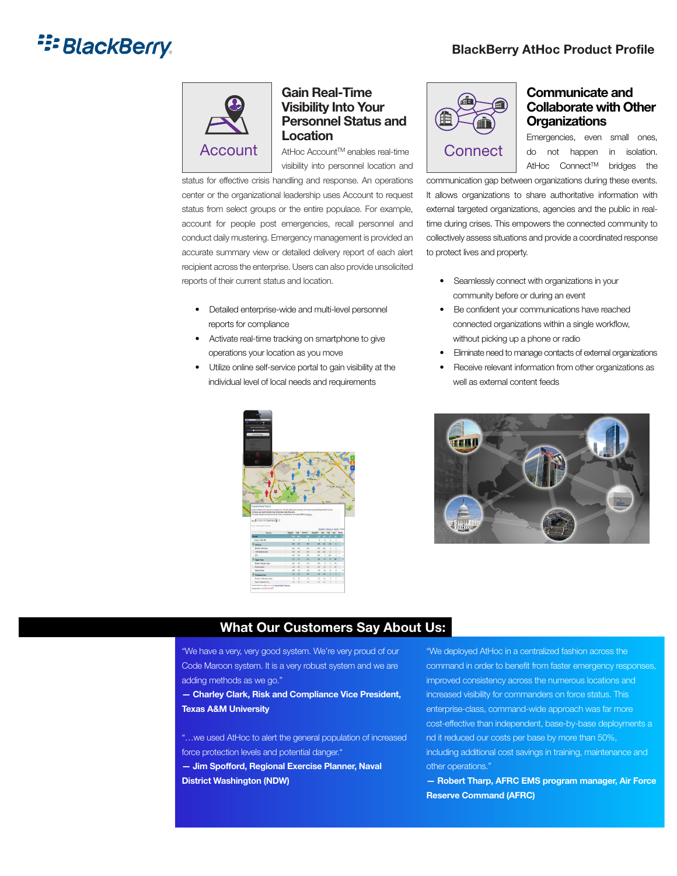### **E: BlackBerry**



#### Gain Real-Time Visibility Into Your Personnel Status and Location

 $\textsf{Account} \parallel \textsf{AtHoc}\xspace$  Account<sup>TM</sup> enables real-time  $\parallel \textsf{Connect}$ visibility into personnel location and

status for effective crisis handling and response. An operations center or the organizational leadership uses Account to request status from select groups or the entire populace. For example, account for people post emergencies, recall personnel and conduct daily mustering. Emergency management is provided an accurate summary view or detailed delivery report of each alert recipient across the enterprise. Users can also provide unsolicited reports of their current status and location.

- Detailed enterprise-wide and multi-level personnel reports for compliance
- Activate real-time tracking on smartphone to give operations your location as you move
- Utilize online self-service portal to gain visibility at the individual level of local needs and requirements





#### Communicate and Collaborate with Other **Organizations**

Emergencies, even small ones, do not happen in isolation. AtHoc Connect™ bridges the

communication gap between organizations during these events. It allows organizations to share authoritative information with external targeted organizations, agencies and the public in realtime during crises. This empowers the connected community to collectively assess situations and provide a coordinated response to protect lives and property.

- Seamlessly connect with organizations in your community before or during an event
- Be confident your communications have reached connected organizations within a single workflow, without picking up a phone or radio
- Eliminate need to manage contacts of external organizations
- Receive relevant information from other organizations as well as external content feeds



#### What Our Customers Say About Us:

"We have a very, very good system. We're very proud of our Code Maroon system. It is a very robust system and we are adding methods as we go."

— Charley Clark, Risk and Compliance Vice President, Texas A&M University

"…we used AtHoc to alert the general population of increased force protection levels and potential danger."

— Jim Spofford, Regional Exercise Planner, Naval District Washington (NDW)

"We deployed AtHoc in a centralized fashion across the command in order to benefit from faster emergency responses, improved consistency across the numerous locations and increased visibility for commanders on force status. This enterprise-class, command-wide approach was far more cost-effective than independent, base-by-base deployments a nd it reduced our costs per base by more than 50%, including additional cost savings in training, maintenance and other operations."

— Robert Tharp, AFRC EMS program manager, Air Force Reserve Command (AFRC)